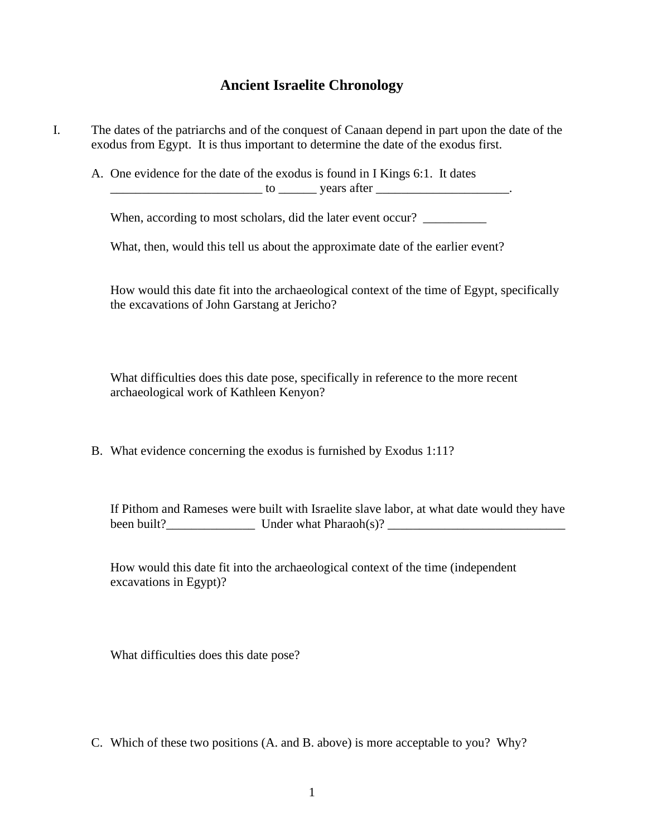## **Ancient Israelite Chronology**

I. The dates of the patriarchs and of the conquest of Canaan depend in part upon the date of the exodus from Egypt. It is thus important to determine the date of the exodus first.

A. One evidence for the date of the exodus is found in I Kings 6:1. It dates

\_\_\_\_\_\_\_\_\_\_\_\_\_\_\_\_\_\_\_\_\_\_\_\_ to \_\_\_\_\_\_ years after \_\_\_\_\_\_\_\_\_\_\_\_\_\_\_\_\_\_\_\_\_.

When, according to most scholars, did the later event occur? \_\_\_\_\_\_\_\_\_\_\_\_\_\_\_\_\_\_\_

What, then, would this tell us about the approximate date of the earlier event?

How would this date fit into the archaeological context of the time of Egypt, specifically the excavations of John Garstang at Jericho?

What difficulties does this date pose, specifically in reference to the more recent archaeological work of Kathleen Kenyon?

B. What evidence concerning the exodus is furnished by Exodus 1:11?

If Pithom and Rameses were built with Israelite slave labor, at what date would they have been built?\_\_\_\_\_\_\_\_\_\_\_\_\_\_ Under what Pharaoh(s)? \_\_\_\_\_\_\_\_\_\_\_\_\_\_\_\_\_\_\_\_\_\_\_\_\_\_\_\_

How would this date fit into the archaeological context of the time (independent excavations in Egypt)?

What difficulties does this date pose?

C. Which of these two positions (A. and B. above) is more acceptable to you? Why?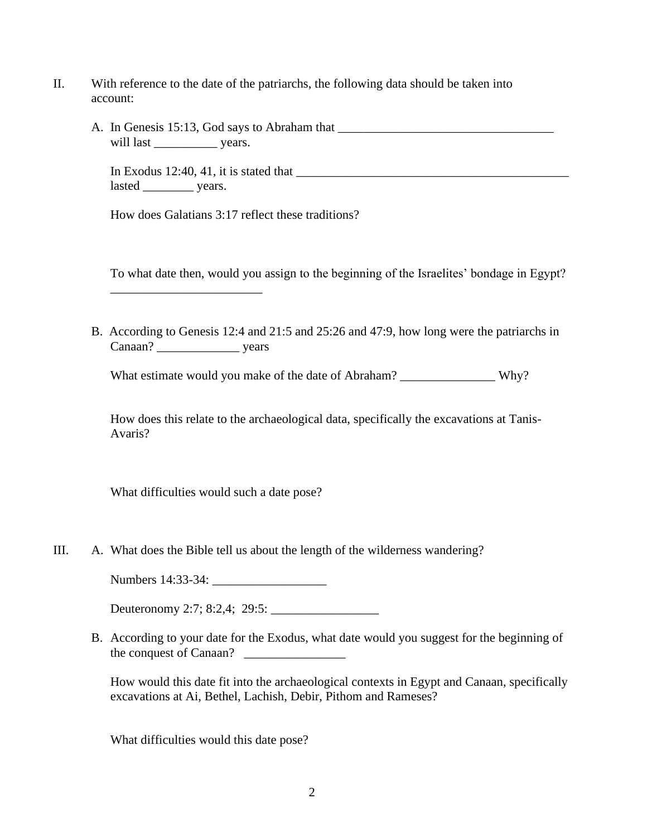- II. With reference to the date of the patriarchs, the following data should be taken into account:
	- A. In Genesis 15:13, God says to Abraham that \_\_\_\_\_\_\_\_\_\_\_\_\_\_\_\_\_\_\_\_\_\_\_\_\_\_\_\_\_\_\_\_\_\_ will last \_\_\_\_\_\_\_\_\_\_ years.

In Exodus 12:40, 41, it is stated that \_\_\_\_\_\_\_\_\_\_\_\_\_\_\_\_\_\_\_\_\_\_\_\_\_\_\_\_\_\_\_\_\_\_\_\_\_\_\_\_\_\_\_ lasted \_\_\_\_\_\_\_\_\_\_\_ years.

How does Galatians 3:17 reflect these traditions?

\_\_\_\_\_\_\_\_\_\_\_\_\_\_\_\_\_\_\_\_\_\_\_\_

To what date then, would you assign to the beginning of the Israelites' bondage in Egypt?

B. According to Genesis 12:4 and 21:5 and 25:26 and 47:9, how long were the patriarchs in Canaan? \_\_\_\_\_\_\_\_\_\_\_\_\_ years

What estimate would you make of the date of Abraham? \_\_\_\_\_\_\_\_\_\_\_\_\_\_\_ Why?

How does this relate to the archaeological data, specifically the excavations at Tanis-Avaris?

What difficulties would such a date pose?

III. A. What does the Bible tell us about the length of the wilderness wandering?

Numbers 14:33-34: \_\_\_\_\_\_\_\_\_\_\_\_\_\_\_\_\_\_

Deuteronomy 2:7; 8:2,4; 29:5: \_\_\_\_\_\_\_\_\_\_\_\_\_\_\_\_\_

B. According to your date for the Exodus, what date would you suggest for the beginning of the conquest of Canaan? \_\_\_\_\_\_\_\_\_\_\_\_\_\_\_\_

How would this date fit into the archaeological contexts in Egypt and Canaan, specifically excavations at Ai, Bethel, Lachish, Debir, Pithom and Rameses?

What difficulties would this date pose?